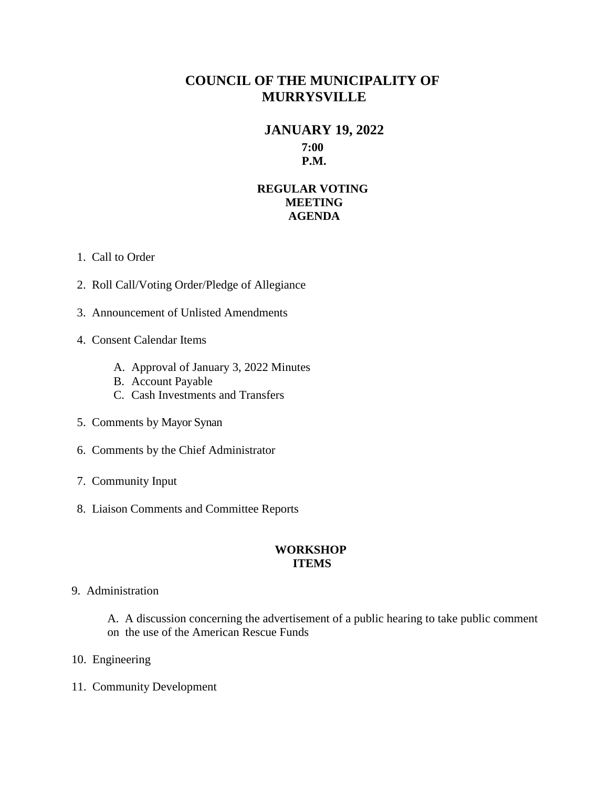# **COUNCIL OF THE MUNICIPALITY OF MURRYSVILLE**

# **JANUARY 19, 2022 7:00 P.M.**

# **REGULAR VOTING MEETING AGENDA**

- 1. Call to Order
- 2. Roll Call/Voting Order/Pledge of Allegiance
- 3. Announcement of Unlisted Amendments
- 4. Consent Calendar Items
	- A. Approval of January 3, 2022 Minutes
	- B. Account Payable
	- C. Cash Investments and Transfers
- 5. Comments by Mayor Synan
- 6. Comments by the Chief Administrator
- 7. Community Input
- 8. Liaison Comments and Committee Reports

## **WORKSHOP ITEMS**

## 9. Administration

A. A discussion concerning the advertisement of a public hearing to take public comment on the use of the American Rescue Funds

- 10. Engineering
- 11. Community Development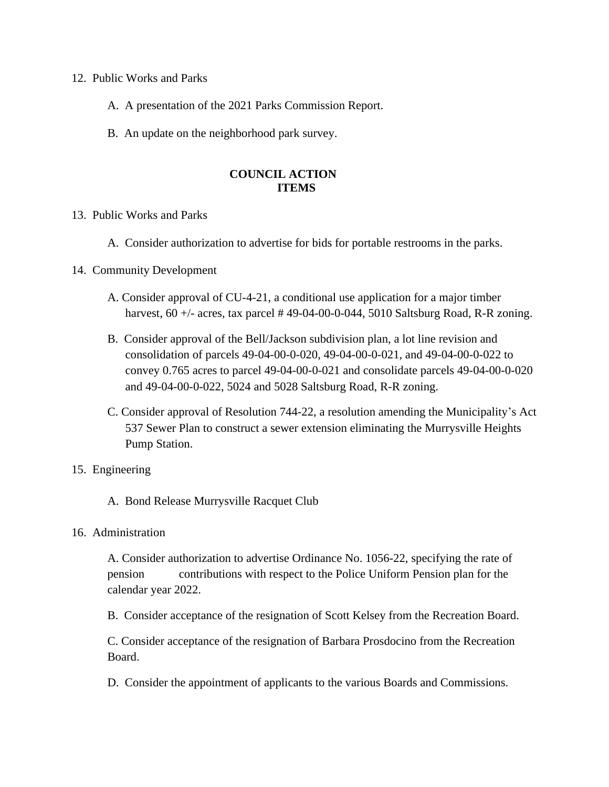- 12. Public Works and Parks
	- A. A presentation of the 2021 Parks Commission Report.
	- B. An update on the neighborhood park survey.

#### **COUNCIL ACTION ITEMS**

#### 13. Public Works and Parks

- A. Consider authorization to advertise for bids for portable restrooms in the parks.
- 14. Community Development
	- A. Consider approval of CU-4-21, a conditional use application for a major timber harvest, 60 +/- acres, tax parcel # 49-04-00-0-044, 5010 Saltsburg Road, R-R zoning.
	- B. Consider approval of the Bell/Jackson subdivision plan, a lot line revision and consolidation of parcels 49-04-00-0-020, 49-04-00-0-021, and 49-04-00-0-022 to convey 0.765 acres to parcel 49-04-00-0-021 and consolidate parcels 49-04-00-0-020 and 49-04-00-0-022, 5024 and 5028 Saltsburg Road, R-R zoning.
	- C. Consider approval of Resolution 744-22, a resolution amending the Municipality's Act 537 Sewer Plan to construct a sewer extension eliminating the Murrysville Heights Pump Station.

### 15. Engineering

A. Bond Release Murrysville Racquet Club

### 16. Administration

A. Consider authorization to advertise Ordinance No. 1056-22, specifying the rate of pension contributions with respect to the Police Uniform Pension plan for the calendar year 2022.

B. Consider acceptance of the resignation of Scott Kelsey from the Recreation Board.

C. Consider acceptance of the resignation of Barbara Prosdocino from the Recreation Board.

D. Consider the appointment of applicants to the various Boards and Commissions.